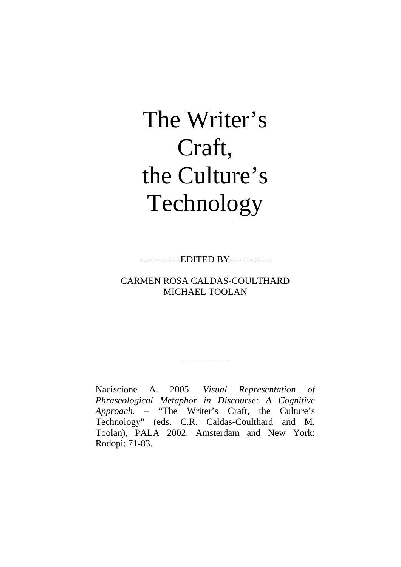# The Writer's Craft, the Culture's Technology

-------------EDITED BY-------------

CARMEN ROSA CALDAS-COULTHARD MICHAEL TOOLAN

Naciscione A. 2005. *Visual Representation of Phraseological Metaphor in Discourse: A Cognitive Approach. –* "The Writer's Craft, the Culture's Technology" (eds. C.R. Caldas-Coulthard and M. Toolan), PALA 2002. Amsterdam and New York: Rodopi: 71-83.

\_\_\_\_\_\_\_\_\_\_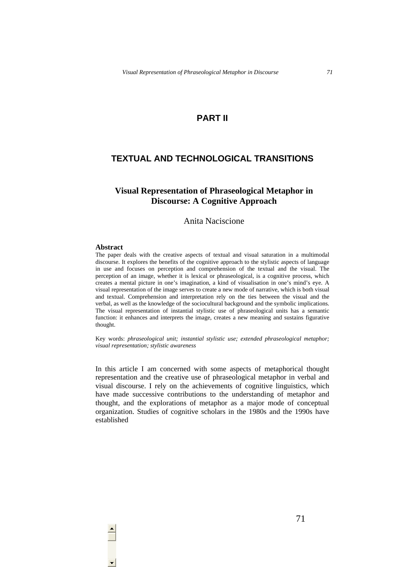## **PART II**

# **TEXTUAL AND TECHNOLOGICAL TRANSITIONS**

## **Visual Representation of Phraseological Metaphor in Discourse: A Cognitive Approach**

## Anita Naciscione

#### **Abstract**

The paper deals with the creative aspects of textual and visual saturation in a multimodal discourse. It explores the benefits of the cognitive approach to the stylistic aspects of language in use and focuses on perception and comprehension of the textual and the visual. The perception of an image, whether it is lexical or phraseological, is a cognitive process, which creates a mental picture in one's imagination, a kind of visualisation in one's mind's eye. A visual representation of the image serves to create a new mode of narrative, which is both visual and textual. Comprehension and interpretation rely on the ties between the visual and the verbal, as well as the knowledge of the sociocultural background and the symbolic implications. The visual representation of instantial stylistic use of phraseological units has a semantic function: it enhances and interprets the image, creates a new meaning and sustains figurative thought.

Key words: *phraseological unit; instantial stylistic use; extended phraseological metaphor; visual representation; stylistic awareness*

In this article I am concerned with some aspects of metaphorical thought representation and the creative use of phraseological metaphor in verbal and visual discourse. I rely on the achievements of cognitive linguistics, which have made successive contributions to the understanding of metaphor and thought, and the explorations of metaphor as a major mode of conceptual organization. Studies of cognitive scholars in the 1980s and the 1990s have established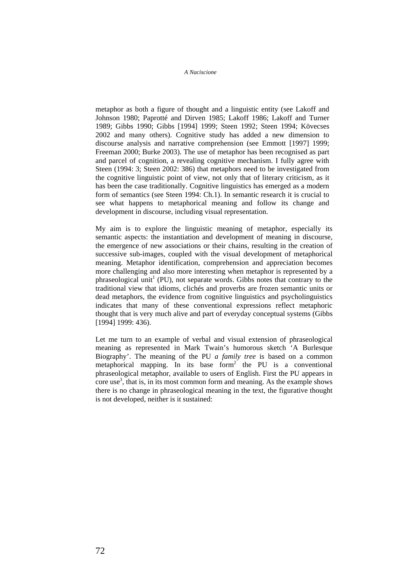metaphor as both a figure of thought and a linguistic entity (see Lakoff and Johnson 1980; Paprotté and Dirven 1985; Lakoff 1986; Lakoff and Turner 1989; Gibbs 1990; Gibbs [1994] 1999; Steen 1992; Steen 1994; Kövecses 2002 and many others). Cognitive study has added a new dimension to discourse analysis and narrative comprehension (see Emmott [1997] 1999; Freeman 2000; Burke 2003). The use of metaphor has been recognised as part and parcel of cognition, a revealing cognitive mechanism. I fully agree with Steen (1994: 3; Steen 2002: 386) that metaphors need to be investigated from the cognitive linguistic point of view, not only that of literary criticism, as it has been the case traditionally. Cognitive linguistics has emerged as a modern form of semantics (see Steen 1994: Ch.1). In semantic research it is crucial to see what happens to metaphorical meaning and follow its change and development in discourse, including visual representation.

My aim is to explore the linguistic meaning of metaphor, especially its semantic aspects: the instantiation and development of meaning in discourse, the emergence of new associations or their chains, resulting in the creation of successive sub-images, coupled with the visual development of metaphorical meaning. Metaphor identification, comprehension and appreciation becomes more challenging and also more interesting when metaphor is represented by a phraseological unit<sup>1</sup> (PU), not separate words. Gibbs notes that contrary to the traditional view that idioms, clichés and proverbs are frozen semantic units or dead metaphors, the evidence from cognitive linguistics and psycholinguistics indicates that many of these conventional expressions reflect metaphoric thought that is very much alive and part of everyday conceptual systems (Gibbs [1994] 1999: 436).

Let me turn to an example of verbal and visual extension of phraseological meaning as represented in Mark Twain's humorous sketch 'A Burlesque Biography'. The meaning of the PU *a family tree* is based on a common metaphorical mapping. In its base form<sup>2</sup> the PU is a conventional phraseological metaphor, available to users of English. First the PU appears in core use<sup>3</sup>, that is, in its most common form and meaning. As the example shows there is no change in phraseological meaning in the text, the figurative thought is not developed, neither is it sustained: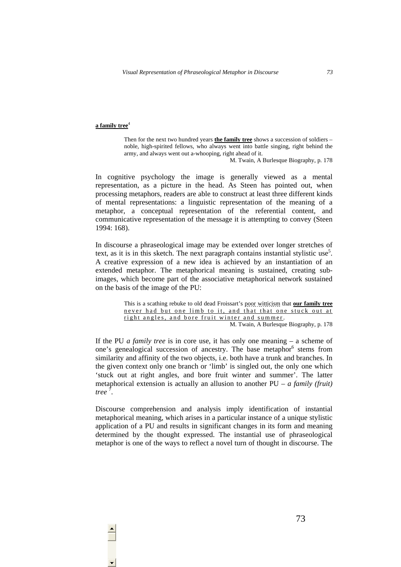### **a family tree**<sup>4</sup>

Then for the next two hundred years **the family tree** shows a succession of soldiers – noble, high-spirited fellows, who always went into battle singing, right behind the army, and always went out a-whooping, right ahead of it.

M. Twain, A Burlesque Biography, p. 178

In cognitive psychology the image is generally viewed as a mental representation, as a picture in the head. As Steen has pointed out, when processing metaphors, readers are able to construct at least three different kinds of mental representations: a linguistic representation of the meaning of a metaphor, a conceptual representation of the referential content, and communicative representation of the message it is attempting to convey (Steen 1994: 168).

In discourse a phraseological image may be extended over longer stretches of text, as it is in this sketch. The next paragraph contains instantial stylistic use<sup>5</sup>. A creative expression of a new idea is achieved by an instantiation of an extended metaphor. The metaphorical meaning is sustained, creating subimages, which become part of the associative metaphorical network sustained on the basis of the image of the PU:

> This is a scathing rebuke to old dead Froissart's poor witticism that **our family tree** never had but one limb to it, and that that one stuck out at right angles, and bore fruit winter and summer .

M. Twain, A Burlesque Biography, p. 178

73

If the PU *a family tree* is in core use, it has only one meaning – a scheme of one's genealogical succession of ancestry. The base metaphor<sup>6</sup> stems from similarity and affinity of the two objects, i.e. both have a trunk and branches. In the given context only one branch or 'limb' is singled out, the only one which 'stuck out at right angles, and bore fruit winter and summer'. The latter metaphorical extension is actually an allusion to another PU – *a family (fruit) tree* <sup>7</sup> .

Discourse comprehension and analysis imply identification of instantial metaphorical meaning, which arises in a particular instance of a unique stylistic application of a PU and results in significant changes in its form and meaning determined by the thought expressed. The instantial use of phraseological metaphor is one of the ways to reflect a novel turn of thought in discourse. The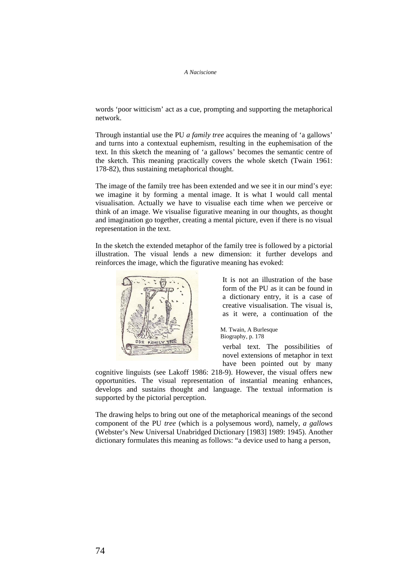words 'poor witticism' act as a cue, prompting and supporting the metaphorical network.

Through instantial use the PU *a family tree* acquires the meaning of 'a gallows' and turns into a contextual euphemism, resulting in the euphemisation of the text. In this sketch the meaning of 'a gallows' becomes the semantic centre of the sketch. This meaning practically covers the whole sketch (Twain 1961: 178-82), thus sustaining metaphorical thought.

The image of the family tree has been extended and we see it in our mind's eye: we imagine it by forming a mental image. It is what I would call mental visualisation. Actually we have to visualise each time when we perceive or think of an image. We visualise figurative meaning in our thoughts, as thought and imagination go together, creating a mental picture, even if there is no visual representation in the text.

In the sketch the extended metaphor of the family tree is followed by a pictorial illustration. The visual lends a new dimension: it further develops and reinforces the image, which the figurative meaning has evoked:



It is not an illustration of the base form of the PU as it can be found in a dictionary entry, it is a case of creative visualisation. The visual is, as it were, a continuation of the

verbal text. The possibilities of novel extensions of metaphor in text have been pointed out by many M. Twain, A Burlesque Biography, p. 178

cognitive linguists (see Lakoff 1986: 218-9). However, the visual offers new opportunities. The visual representation of instantial meaning enhances, develops and sustains thought and language. The textual information is supported by the pictorial perception.

The drawing helps to bring out one of the metaphorical meanings of the second component of the PU *tree* (which is a polysemous word), namely, *a gallows* (Webster's New Universal Unabridged Dictionary [1983] 1989: 1945). Another dictionary formulates this meaning as follows: "a device used to hang a person,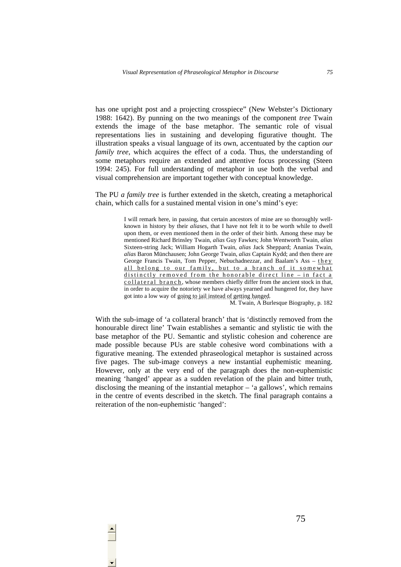has one upright post and a projecting crosspiece" (New Webster's Dictionary 1988: 1642). By punning on the two meanings of the component *tree* Twain extends the image of the base metaphor. The semantic role of visual representations lies in sustaining and developing figurative thought. The illustration speaks a visual language of its own, accentuated by the caption *our family tree*, which acquires the effect of a coda. Thus, the understanding of some metaphors require an extended and attentive focus processing (Steen 1994: 245). For full understanding of metaphor in use both the verbal and visual comprehension are important together with conceptual knowledge.

The PU *a family tree* is further extended in the sketch, creating a metaphorical chain, which calls for a sustained mental vision in one's mind's eye:

> I will remark here, in passing, that certain ancestors of mine are so thoroughly wellknown in history by their *aliases*, that I have not felt it to be worth while to dwell upon them, or even mentioned them in the order of their birth. Among these may be mentioned Richard Brinsley Twain, *alias* Guy Fawkes; John Wentworth Twain, *alias* Sixteen-string Jack; William Hogarth Twain, *alias* Jack Sheppard; Ananias Twain, *alias* Baron Münchausen; John George Twain, *alias* Captain Kydd; and then there are George Francis Twain, Tom Pepper, Nebuchadnezzar, and Baalam's Ass – they all belong to our family, but to a branch of it somewhat distinctly removed from the honorable direct line – in fact a collateral branch , whose members chiefly differ from the ancient stock in that, in order to acquire the notoriety we have always yearned and hungered for, they have got into a low way of going to jail instead of getting hanged.

M. Twain, A Burlesque Biography, p. 182

With the sub-image of 'a collateral branch' that is 'distinctly removed from the honourable direct line' Twain establishes a semantic and stylistic tie with the base metaphor of the PU. Semantic and stylistic cohesion and coherence are made possible because PUs are stable cohesive word combinations with a figurative meaning. The extended phraseological metaphor is sustained across five pages. The sub-image conveys a new instantial euphemistic meaning. However, only at the very end of the paragraph does the non-euphemistic meaning 'hanged' appear as a sudden revelation of the plain and bitter truth, disclosing the meaning of the instantial metaphor – 'a gallows', which remains in the centre of events described in the sketch. The final paragraph contains a reiteration of the non-euphemistic 'hanged':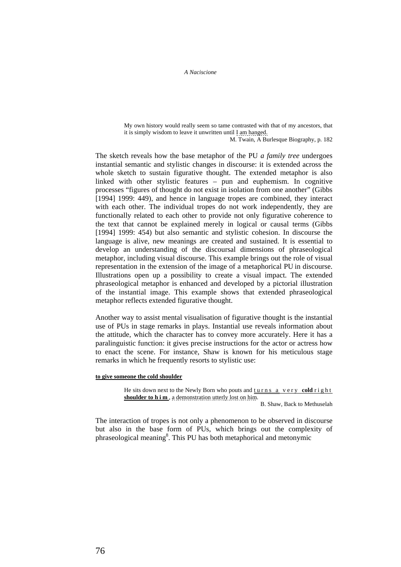My own history would really seem so tame contrasted with that of my ancestors, that it is simply wisdom to leave it unwritten until I am hanged.

M. Twain, A Burlesque Biography, p. 182

The sketch reveals how the base metaphor of the PU *a family tree* undergoes instantial semantic and stylistic changes in discourse: it is extended across the whole sketch to sustain figurative thought. The extended metaphor is also linked with other stylistic features – pun and euphemism. In cognitive processes "figures of thought do not exist in isolation from one another" (Gibbs [1994] 1999: 449), and hence in language tropes are combined, they interact with each other. The individual tropes do not work independently, they are functionally related to each other to provide not only figurative coherence to the text that cannot be explained merely in logical or causal terms (Gibbs [1994] 1999: 454) but also semantic and stylistic cohesion. In discourse the language is alive, new meanings are created and sustained. It is essential to develop an understanding of the discoursal dimensions of phraseological metaphor, including visual discourse. This example brings out the role of visual representation in the extension of the image of a metaphorical PU in discourse. Illustrations open up a possibility to create a visual impact. The extended phraseological metaphor is enhanced and developed by a pictorial illustration of the instantial image. This example shows that extended phraseological metaphor reflects extended figurative thought.

Another way to assist mental visualisation of figurative thought is the instantial use of PUs in stage remarks in plays. Instantial use reveals information about the attitude, which the character has to convey more accurately. Here it has a paralinguistic function: it gives precise instructions for the actor or actress how to enact the scene. For instance, Shaw is known for his meticulous stage remarks in which he frequently resorts to stylistic use:

#### **to give someone the cold shoulder**

He sits down next to the Newly Born who pouts and turns a very cold right **shoulder to h i m** , a demonstration utterly lost on him.

B. Shaw, Back to Methuselah

The interaction of tropes is not only a phenomenon to be observed in discourse but also in the base form of PUs, which brings out the complexity of phraseological meaning<sup>8</sup>. This PU has both metaphorical and metonymic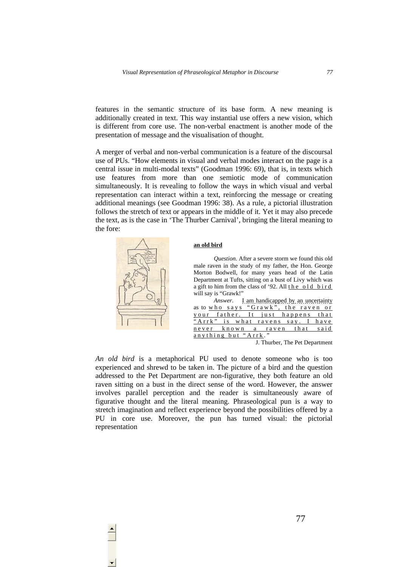features in the semantic structure of its base form. A new meaning is additionally created in text. This way instantial use offers a new vision, which is different from core use. The non-verbal enactment is another mode of the presentation of message and the visualisation of thought.

A merger of verbal and non-verbal communication is a feature of the discoursal use of PUs. "How elements in visual and verbal modes interact on the page is a central issue in multi-modal texts" (Goodman 1996: 69), that is, in texts which use features from more than one semiotic mode of communication simultaneously. It is revealing to follow the ways in which visual and verbal representation can interact within a text, reinforcing the message or creating additional meanings (see Goodman 1996: 38). As a rule, a pictorial illustration follows the stretch of text or appears in the middle of it. Yet it may also precede the text, as is the case in 'The Thurber Carnival', bringing the literal meaning to the fore:



#### **an old bird**

*Question*. After a severe storm we found this old male raven in the study of my father, the Hon. George Morton Bodwell, for many years head of the Latin Department at Tufts, sitting on a bust of Livy which was a gift to him from the class of '92. All the old bird will say is "Grawk!"

|                                      | <i>Answer.</i> I am handicapped by an uncertainty |  |
|--------------------------------------|---------------------------------------------------|--|
| as to who says "Grawk", the raven or |                                                   |  |
| your father. It just happens that    |                                                   |  |
| "Arrk" is what ravens say. I have    |                                                   |  |
| never known a raven that said        |                                                   |  |
| anything but "Arrk."                 |                                                   |  |

J. Thurber, The Pet Department

*An old bird* is a metaphorical PU used to denote someone who is too experienced and shrewd to be taken in. The picture of a bird and the question addressed to the Pet Department are non-figurative, they both feature an old raven sitting on a bust in the direct sense of the word. However, the answer involves parallel perception and the reader is simultaneously aware of figurative thought and the literal meaning. Phraseological pun is a way to stretch imagination and reflect experience beyond the possibilities offered by a PU in core use. Moreover, the pun has turned visual: the pictorial representation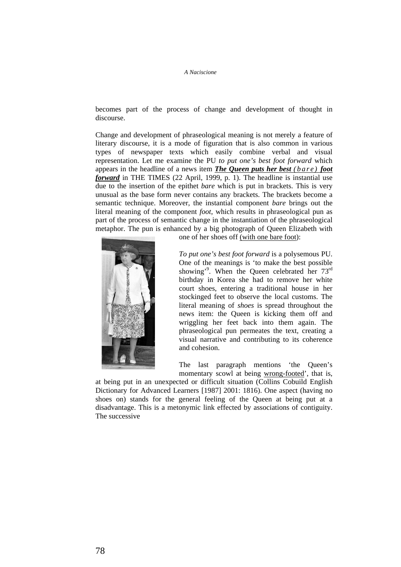becomes part of the process of change and development of thought in discourse.

Change and development of phraseological meaning is not merely a feature of literary discourse, it is a mode of figuration that is also common in various types of newspaper texts which easily combine verbal and visual representation. Let me examine the PU *to put one's best foot forward* which appears in the headline of a news item *The Queen puts her best (bare) foot forward* in THE TIMES (22 April, 1999, p. 1). The headline is instantial use due to the insertion of the epithet *bare* which is put in brackets. This is very unusual as the base form never contains any brackets. The brackets become a semantic technique. Moreover, the instantial component *bare* brings out the literal meaning of the component *foot*, which results in phraseological pun as part of the process of semantic change in the instantiation of the phraseological metaphor. The pun is enhanced by a big photograph of Queen Elizabeth with



one of her shoes off (with one bare foot):

*To put one's best foot forward* is a polysemous PU. One of the meanings is 'to make the best possible showing'<sup>9</sup>. When the Queen celebrated her 73<sup>rd</sup> birthday in Korea she had to remove her white court shoes, entering a traditional house in her stockinged feet to observe the local customs. The literal meaning of *shoes* is spread throughout the news item: the Queen is kicking them off and wriggling her feet back into them again. The phraseological pun permeates the text, creating a visual narrative and contributing to its coherence and cohesion.

The last paragraph mentions 'the Queen's momentary scowl at being wrong-footed', that is,

at being put in an unexpected or difficult situation (Collins Cobuild English Dictionary for Advanced Learners [1987] 2001: 1816). One aspect (having no shoes on) stands for the general feeling of the Queen at being put at a disadvantage. This is a metonymic link effected by associations of contiguity. The successive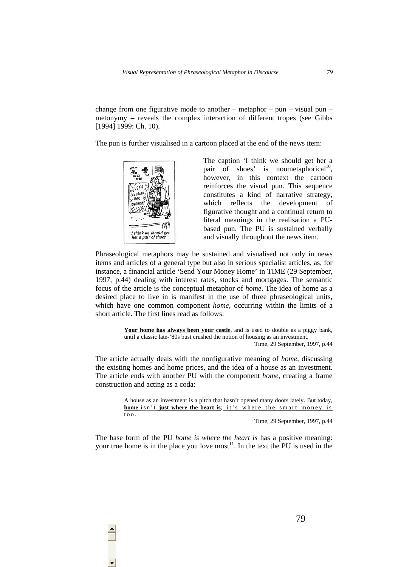change from one figurative mode to another – metaphor – pun – visual pun – metonymy – reveals the complex interaction of different tropes (see Gibbs [1994] 1999: Ch. 10).

The pun is further visualised in a cartoon placed at the end of the news item:



The caption 'I think we should get her a pair of shoes' is nonmetaphorical<sup>10</sup>, however, in this context the cartoon reinforces the visual pun. This sequence constitutes a kind of narrative strategy, which reflects the development of figurative thought and a continual return to literal meanings in the realisation a PUbased pun. The PU is sustained verbally and visually throughout the news item.

Phraseological metaphors may be sustained and visualised not only in news items and articles of a general type but also in serious specialist articles, as, for instance, a financial article 'Send Your Money Home' in TIME (29 September, 1997, p.44) dealing with interest rates, stocks and mortgages. The semantic focus of the article is the conceptual metaphor of *home*. The idea of home as a desired place to live in is manifest in the use of three phraseological units, which have one common component *home*, occurring within the limits of a short article. The first lines read as follows:

> **Your home has always been your castle**, and is used to double as a piggy bank, until a classic late-'80s bust crushed the notion of housing as an investment. Time, 29 September, 1997, p.44

The article actually deals with the nonfigurative meaning of *home*, discussing the existing homes and home prices, and the idea of a house as an investment. The article ends with another PU with the component *home*, creating a frame construction and acting as a coda:

> A house as an investment is a pitch that hasn't opened many doors lately. But today, **home** isn't **just where the heart is**; it's where the smart money is too .

Time, 29 September, 1997, p.44

The base form of the PU *home is where the heart is* has a positive meaning: your true home is in the place you love most<sup>11</sup>. In the text the PU is used in the

79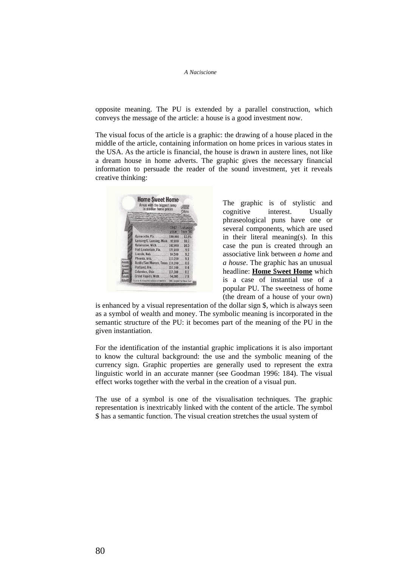opposite meaning. The PU is extended by a parallel construction, which conveys the message of the article: a house is a good investment now.

The visual focus of the article is a graphic: the drawing of a house placed in the middle of the article, containing information on home prices in various states in the USA. As the article is financial, the house is drawn in austere lines, not like a dream house in home adverts. The graphic gives the necessary financial information to persuade the reader of the sound investment, yet it reveals creative thinking:

| Areas with the biggest jump<br>in median home prices |               |                      |
|------------------------------------------------------|---------------|----------------------|
|                                                      | 1997<br>price | % change<br>from '96 |
| Gainesville, Fla.                                    | \$99,000      | 12.5%                |
| Lansing/E. Lansing, Mich.                            | .92,800       | 10.7                 |
| Kalamazoo, Mich.                                     | 102,000       | 10.5                 |
| Fort Lauderdale, Fla.                                | 121,800       | 9.6                  |
| Lincoln, Neb.                                        | 94,500        | 9.2                  |
| Phoenix, Ariz.                                       | 113,200       | 9.1                  |
| Austin/San Marcos, Texas 118,200                     |               | 8.6                  |
| Portland, Ore.                                       | 151.100       | 84                   |
| Columbus, Ohio                                       | 117,300       | 8.1                  |
| Grand Rapids, Mich                                   | 94.000        | 7.8                  |

The graphic is of stylistic and cognitive interest. Usually phraseological puns have one or several components, which are used in their literal meaning(s). In this case the pun is created through an associative link between *a home* and *a house*. The graphic has an unusual headline: **Home \$weet Home** which is a case of instantial use of a popular PU. The sweetness of home (the dream of a house of your own)

is enhanced by a visual representation of the dollar sign \$, which is always seen as a symbol of wealth and money. The symbolic meaning is incorporated in the semantic structure of the PU: it becomes part of the meaning of the PU in the given instantiation.

For the identification of the instantial graphic implications it is also important to know the cultural background: the use and the symbolic meaning of the currency sign. Graphic properties are generally used to represent the extra linguistic world in an accurate manner (see Goodman 1996: 184). The visual effect works together with the verbal in the creation of a visual pun.

The use of a symbol is one of the visualisation techniques. The graphic representation is inextricably linked with the content of the article. The symbol \$ has a semantic function. The visual creation stretches the usual system of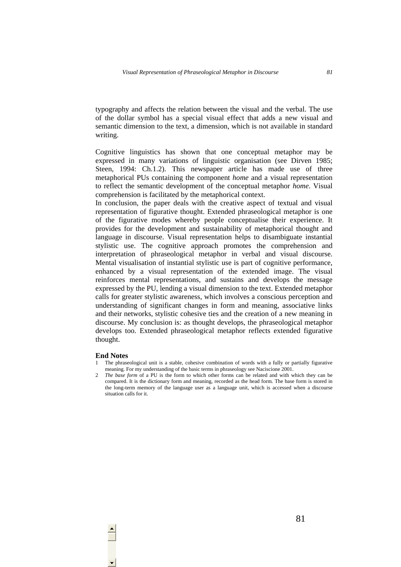typography and affects the relation between the visual and the verbal. The use of the dollar symbol has a special visual effect that adds a new visual and semantic dimension to the text, a dimension, which is not available in standard writing.

Cognitive linguistics has shown that one conceptual metaphor may be expressed in many variations of linguistic organisation (see Dirven 1985; Steen, 1994: Ch.1.2). This newspaper article has made use of three metaphorical PUs containing the component *home* and a visual representation to reflect the semantic development of the conceptual metaphor *home*. Visual comprehension is facilitated by the metaphorical context.

In conclusion, the paper deals with the creative aspect of textual and visual representation of figurative thought. Extended phraseological metaphor is one of the figurative modes whereby people conceptualise their experience. It provides for the development and sustainability of metaphorical thought and language in discourse. Visual representation helps to disambiguate instantial stylistic use. The cognitive approach promotes the comprehension and interpretation of phraseological metaphor in verbal and visual discourse. Mental visualisation of instantial stylistic use is part of cognitive performance, enhanced by a visual representation of the extended image. The visual reinforces mental representations, and sustains and develops the message expressed by the PU, lending a visual dimension to the text. Extended metaphor calls for greater stylistic awareness, which involves a conscious perception and understanding of significant changes in form and meaning, associative links and their networks, stylistic cohesive ties and the creation of a new meaning in discourse. My conclusion is: as thought develops, the phraseological metaphor develops too. Extended phraseological metaphor reflects extended figurative thought.

#### **End Notes**

- 1 The phraseological unit is a stable, cohesive combination of words with a fully or partially figurative meaning. For my understanding of the basic terms in phraseology see Naciscione 2001.
- 2 *The base form* of a PU is the form to which other forms can be related and with which they can be compared. It is the dictionary form and meaning, recorded as the head form. The base form is stored in the long-term memory of the language user as a language unit, which is accessed when a discourse situation calls for it.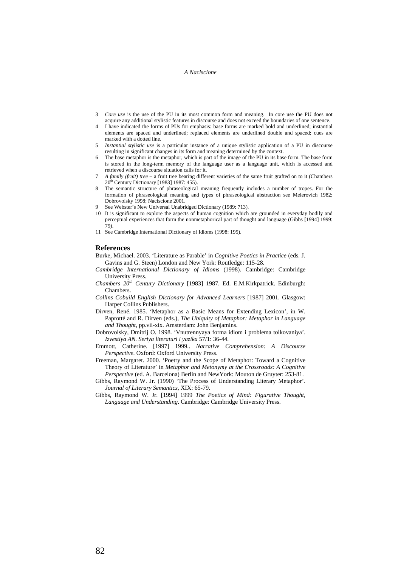- 3 *Core use* is the use of the PU in its most common form and meaning. In core use the PU does not acquire any additional stylistic features in discourse and does not exceed the boundaries of one sentence.
- 4 I have indicated the forms of PUs for emphasis: base forms are marked bold and underlined; instantial elements are spaced and underlined; replaced elements are underlined double and spaced; cues are marked with a dotted line.
- 5 *Instantial stylistic use* is a particular instance of a unique stylistic application of a PU in discourse resulting in significant changes in its form and meaning determined by the context.
- 6 The base metaphor is the metaphor, which is part of the image of the PU in its base form. The base form is stored in the long-term memory of the language user as a language unit, which is accessed and retrieved when a discourse situation calls for it.
- 7 *A family (fruit) tree* a fruit tree bearing different varieties of the same fruit grafted on to it (Chambers 20<sup>th</sup> Century Dictionary [1983] 1987: 455).
- 8 The semantic structure of phraseological meaning frequently includes a number of tropes. For the formation of phraseological meaning and types of phraseological abstraction see Melerovich 1982; Dobrovolsky 1998; Naciscione 2001.
- See Webster's New Universal Unabridged Dictionary (1989: 713).
- 10 It is significant to explore the aspects of human cognition which are grounded in everyday bodily and perceptual experiences that form the nonmetaphorical part of thought and language (Gibbs [1994] 1999: 79).
- 11 See Cambridge International Dictionary of Idioms (1998: 195).

#### **References**

- Burke, Michael. 2003. 'Literature as Parable' in *Cognitive Poetics in Practice* (eds. J. Gavins and G. Steen) London and New York: Routledge: 115-28.
- *Cambridge International Dictionary of Idioms* (1998). Cambridge: Cambridge University Press.
- *Chambers 20th Century Dictionary* [1983] 1987. Ed. E.M.Kirkpatrick. Edinburgh: Chambers.
- *Collins Cobuild English Dictionary for Advanced Learners* [1987] 2001. Glasgow: Harper Collins Publishers.
- Dirven, René. 1985. 'Metaphor as a Basic Means for Extending Lexicon', in W. Paprotté and R. Dirven (eds.), *The Ubiquity of Metaphor: Metaphor in Language and Thought*, pp.vii-xix. Amsterdam: John Benjamins.
- Dobrovolsky, Dmitrij O. 1998. 'Vnutrennyaya forma idiom i problema tolkovaniya'. *Izvestiya AN. Seriya literaturi i yazika* 57/1: 36-44.
- Emmott, Catherine. [1997] 1999.. *Narrative Comprehension: A Discourse Perspective*. Oxford: Oxford University Press.
- Freeman, Margaret. 2000. 'Poetry and the Scope of Metaphor: Toward a Cognitive Theory of Literature' in *Metaphor and Metonymy at the Crossroads: A Cognitive Perspective* (ed. A. Barcelona) Berlin and NewYork: Mouton de Gruyter: 253-81.
- Gibbs, Raymond W. Jr. (1990) 'The Process of Understanding Literary Metaphor'. *Journal of Literary Semantics*, XIX: 65-79.
- Gibbs, Raymond W. Jr. [1994] 1999 *The Poetics of Mind: Figurative Thought, Language and Understanding*. Cambridge: Cambridge University Press.